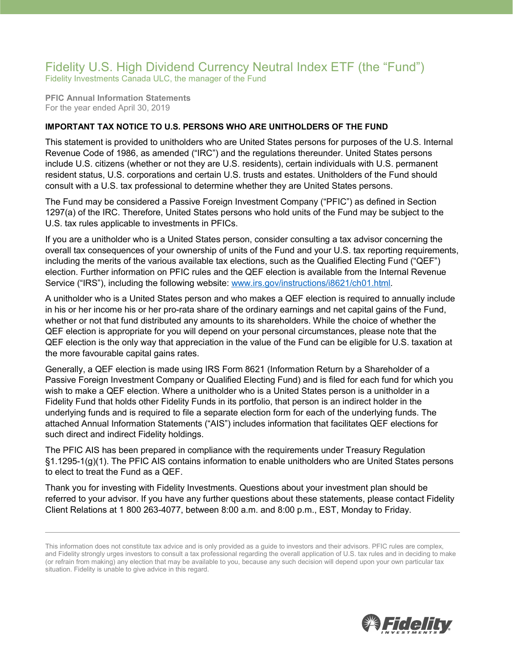## Fidelity U.S. High Dividend Currency Neutral Index ETF (the "Fund") Fidelity Investments Canada ULC, the manager of the Fund

**PFIC Annual Information Statements** For the year ended April 30, 2019

## **IMPORTANT TAX NOTICE TO U.S. PERSONS WHO ARE UNITHOLDERS OF THE FUND**

This statement is provided to unitholders who are United States persons for purposes of the U.S. Internal Revenue Code of 1986, as amended ("IRC") and the regulations thereunder. United States persons include U.S. citizens (whether or not they are U.S. residents), certain individuals with U.S. permanent resident status, U.S. corporations and certain U.S. trusts and estates. Unitholders of the Fund should consult with a U.S. tax professional to determine whether they are United States persons.

The Fund may be considered a Passive Foreign Investment Company ("PFIC") as defined in Section 1297(a) of the IRC. Therefore, United States persons who hold units of the Fund may be subject to the U.S. tax rules applicable to investments in PFICs.

If you are a unitholder who is a United States person, consider consulting a tax advisor concerning the overall tax consequences of your ownership of units of the Fund and your U.S. tax reporting requirements, including the merits of the various available tax elections, such as the Qualified Electing Fund ("QEF") election. Further information on PFIC rules and the QEF election is available from the Internal Revenue Service ("IRS"), including the following website: [www.irs.gov/instructions/i8621/ch01.html.](http://www.irs.gov/instructions/i8621/ch01.html)

A unitholder who is a United States person and who makes a QEF election is required to annually include in his or her income his or her pro-rata share of the ordinary earnings and net capital gains of the Fund, whether or not that fund distributed any amounts to its shareholders. While the choice of whether the QEF election is appropriate for you will depend on your personal circumstances, please note that the QEF election is the only way that appreciation in the value of the Fund can be eligible for U.S. taxation at the more favourable capital gains rates.

Generally, a QEF election is made using IRS Form 8621 (Information Return by a Shareholder of a Passive Foreign Investment Company or Qualified Electing Fund) and is filed for each fund for which you wish to make a QEF election. Where a unitholder who is a United States person is a unitholder in a Fidelity Fund that holds other Fidelity Funds in its portfolio, that person is an indirect holder in the underlying funds and is required to file a separate election form for each of the underlying funds. The attached Annual Information Statements ("AIS") includes information that facilitates QEF elections for such direct and indirect Fidelity holdings.

The PFIC AIS has been prepared in compliance with the requirements under Treasury Regulation §1.1295-1(g)(1). The PFIC AIS contains information to enable unitholders who are United States persons to elect to treat the Fund as a QEF.

Thank you for investing with Fidelity Investments. Questions about your investment plan should be referred to your advisor. If you have any further questions about these statements, please contact Fidelity Client Relations at 1 800 263-4077, between 8:00 a.m. and 8:00 p.m., EST, Monday to Friday.



This information does not constitute tax advice and is only provided as a guide to investors and their advisors. PFIC rules are complex, and Fidelity strongly urges investors to consult a tax professional regarding the overall application of U.S. tax rules and in deciding to make (or refrain from making) any election that may be available to you, because any such decision will depend upon your own particular tax situation. Fidelity is unable to give advice in this regard.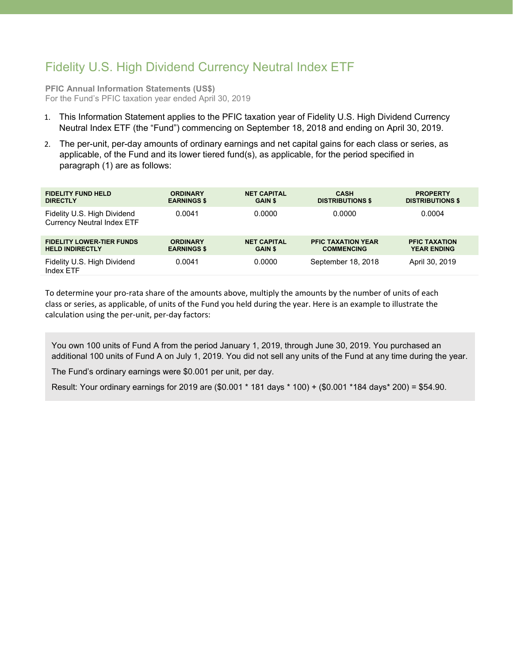## Fidelity U.S. High Dividend Currency Neutral Index ETF

**PFIC Annual Information Statements (US\$)** For the Fund's PFIC taxation year ended April 30, 2019

- 1. This Information Statement applies to the PFIC taxation year of Fidelity U.S. High Dividend Currency Neutral Index ETF (the "Fund") commencing on September 18, 2018 and ending on April 30, 2019.
- 2. The per-unit, per-day amounts of ordinary earnings and net capital gains for each class or series, as applicable, of the Fund and its lower tiered fund(s), as applicable, for the period specified in paragraph (1) are as follows:

| <b>FIDELITY FUND HELD</b><br><b>DIRECTLY</b>                     | <b>ORDINARY</b><br><b>EARNINGS \$</b> | <b>NET CAPITAL</b><br><b>GAIN \$</b> | <b>CASH</b><br><b>DISTRIBUTIONS \$</b>         | <b>PROPERTY</b><br><b>DISTRIBUTIONS \$</b> |
|------------------------------------------------------------------|---------------------------------------|--------------------------------------|------------------------------------------------|--------------------------------------------|
|                                                                  |                                       |                                      |                                                |                                            |
| Fidelity U.S. High Dividend<br><b>Currency Neutral Index ETF</b> | 0.0041                                | 0.0000                               | 0.0000                                         | 0.0004                                     |
| <b>FIDELITY LOWER-TIER FUNDS</b><br><b>HELD INDIRECTLY</b>       | <b>ORDINARY</b><br><b>EARNINGS \$</b> | <b>NET CAPITAL</b><br><b>GAIN \$</b> | <b>PFIC TAXATION YEAR</b><br><b>COMMENCING</b> | <b>PFIC TAXATION</b><br><b>YEAR ENDING</b> |
| Fidelity U.S. High Dividend<br>Index ETF                         | 0.0041                                | 0.0000                               | September 18, 2018                             | April 30, 2019                             |

To determine your pro-rata share of the amounts above, multiply the amounts by the number of units of each class or series, as applicable, of units of the Fund you held during the year. Here is an example to illustrate the calculation using the per-unit, per-day factors:

You own 100 units of Fund A from the period January 1, 2019, through June 30, 2019. You purchased an additional 100 units of Fund A on July 1, 2019. You did not sell any units of the Fund at any time during the year.

The Fund's ordinary earnings were \$0.001 per unit, per day.

Result: Your ordinary earnings for 2019 are (\$0.001 \* 181 days \* 100) + (\$0.001 \*184 days\* 200) = \$54.90.